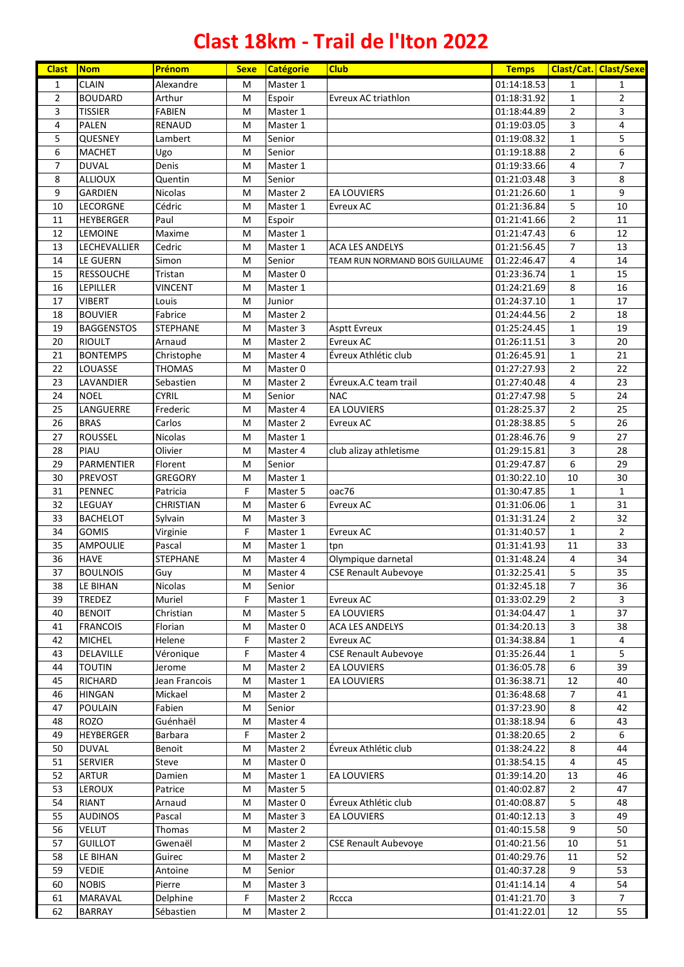## **Clast 18km - Trail de l'Iton 2022**

| <b>Clast</b>   | <b>Nom</b>        | Prénom           | <b>Sexe</b> | <b>Catégorie</b> | <b>Club</b>                     | <b>Temps</b> |                | Clast/Cat. Clast/Sexe |
|----------------|-------------------|------------------|-------------|------------------|---------------------------------|--------------|----------------|-----------------------|
| 1              | <b>CLAIN</b>      | Alexandre        | M           | Master 1         |                                 | 01:14:18.53  | 1              | 1                     |
| $\overline{2}$ | <b>BOUDARD</b>    | Arthur           | M           | Espoir           | <b>Evreux AC triathlon</b>      | 01:18:31.92  | 1              | $\overline{2}$        |
| 3              | <b>TISSIER</b>    | <b>FABIEN</b>    | M           | Master 1         |                                 | 01:18:44.89  | $\overline{2}$ | 3                     |
| 4              | <b>PALEN</b>      | RENAUD           | M           | Master 1         |                                 | 01:19:03.05  | 3              | 4                     |
| 5              | QUESNEY           | Lambert          | M           | Senior           |                                 | 01:19:08.32  | $\mathbf{1}$   | 5                     |
| 6              | MACHET            | Ugo              | M           | Senior           |                                 | 01:19:18.88  | $\overline{2}$ | 6                     |
| $\overline{7}$ | <b>DUVAL</b>      | Denis            | M           | Master 1         |                                 | 01:19:33.66  | 4              | $\overline{7}$        |
| 8              | <b>ALLIOUX</b>    | Quentin          | M           | Senior           |                                 | 01:21:03.48  | 3              | 8                     |
| 9              | <b>GARDIEN</b>    | Nicolas          | M           | Master 2         | <b>EA LOUVIERS</b>              | 01:21:26.60  | $\mathbf{1}$   | 9                     |
| 10             | <b>LECORGNE</b>   | Cédric           | M           | Master 1         | <b>Evreux AC</b>                | 01:21:36.84  | 5              | 10                    |
| 11             | <b>HEYBERGER</b>  | Paul             | M           | Espoir           |                                 | 01:21:41.66  | $\overline{2}$ | $11\,$                |
| 12             | <b>LEMOINE</b>    | Maxime           | M           | Master 1         |                                 | 01:21:47.43  | 6              | 12                    |
| 13             | LECHEVALLIER      | Cedric           | M           | Master 1         | <b>ACA LES ANDELYS</b>          | 01:21:56.45  | $\overline{7}$ | 13                    |
| 14             | LE GUERN          | Simon            | M           | Senior           | TEAM RUN NORMAND BOIS GUILLAUME | 01:22:46.47  | 4              | 14                    |
| 15             | <b>RESSOUCHE</b>  | Tristan          | M           | Master 0         |                                 | 01:23:36.74  | $\mathbf{1}$   | 15                    |
| 16             | LEPILLER          | VINCENT          | M           | Master 1         |                                 | 01:24:21.69  | 8              | 16                    |
| 17             | <b>VIBERT</b>     | Louis            | M           | Junior           |                                 | 01:24:37.10  | $\mathbf 1$    | 17                    |
| 18             | <b>BOUVIER</b>    | Fabrice          | M           | Master 2         |                                 | 01:24:44.56  | $\overline{2}$ | 18                    |
| 19             | <b>BAGGENSTOS</b> | <b>STEPHANE</b>  | M           | Master 3         | <b>Asptt Evreux</b>             | 01:25:24.45  | $\mathbf 1$    | 19                    |
| 20             | <b>RIOULT</b>     | Arnaud           | M           | Master 2         | <b>Evreux AC</b>                | 01:26:11.51  | 3              | 20                    |
| 21             | <b>BONTEMPS</b>   | Christophe       | M           | Master 4         | Évreux Athlétic club            | 01:26:45.91  | $\mathbf{1}$   | 21                    |
| 22             | LOUASSE           | <b>THOMAS</b>    | M           | Master 0         |                                 | 01:27:27.93  | $\overline{2}$ | 22                    |
| 23             | LAVANDIER         | Sebastien        | M           | Master 2         | Évreux.A.C team trail           | 01:27:40.48  | 4              | 23                    |
| 24             | <b>NOEL</b>       | <b>CYRIL</b>     | M           | Senior           | <b>NAC</b>                      | 01:27:47.98  | 5              | 24                    |
| 25             | LANGUERRE         | Frederic         | M           | Master 4         | <b>EA LOUVIERS</b>              | 01:28:25.37  | $\overline{2}$ | 25                    |
| 26             | <b>BRAS</b>       | Carlos           | M           | Master 2         | <b>Evreux AC</b>                | 01:28:38.85  | 5              | 26                    |
| 27             | <b>ROUSSEL</b>    | <b>Nicolas</b>   | M           | Master 1         |                                 | 01:28:46.76  | 9              | 27                    |
| 28             | PIAU              | Olivier          | M           | Master 4         | club alizay athletisme          | 01:29:15.81  | 3              | 28                    |
| 29             | PARMENTIER        | Florent          | M           | Senior           |                                 | 01:29:47.87  | 6              | 29                    |
| 30             | <b>PREVOST</b>    | <b>GREGORY</b>   | M           | Master 1         |                                 | 01:30:22.10  | 10             | 30                    |
| 31             | <b>PENNEC</b>     | Patricia         | F           | Master 5         | oac76                           | 01:30:47.85  | $\mathbf{1}$   | $\mathbf{1}$          |
| 32             | LEGUAY            | <b>CHRISTIAN</b> | M           | Master 6         | <b>Evreux AC</b>                | 01:31:06.06  | 1              | 31                    |
| 33             | <b>BACHELOT</b>   | Sylvain          | M           | Master 3         |                                 | 01:31:31.24  | $\overline{2}$ | 32                    |
| 34             | <b>GOMIS</b>      | Virginie         | F           | Master 1         | Evreux AC                       | 01:31:40.57  | 1              | $\mathbf 2$           |
| 35             | <b>AMPOULIE</b>   | Pascal           | M           | Master 1         | tpn                             | 01:31:41.93  | 11             | 33                    |
| 36             | <b>HAVE</b>       | <b>STEPHANE</b>  | M           | Master 4         | Olympique darnetal              | 01:31:48.24  | 4              | 34                    |
| 37             | <b>BOULNOIS</b>   | Guy              | M           | Master 4         | <b>CSE Renault Aubevoye</b>     | 01:32:25.41  | 5              | 35                    |
| 38             | LE BIHAN          | Nicolas          | M           | Senior           |                                 | 01:32:45.18  | 7              | 36                    |
| 39             | TREDEZ            | Muriel           | F           | Master 1         | Evreux AC                       | 01:33:02.29  | 2              | 3                     |
| 40             | <b>BENOIT</b>     | Christian        | M           | Master 5         | <b>EA LOUVIERS</b>              | 01:34:04.47  | 1              | 37                    |
| 41             | <b>FRANCOIS</b>   | Florian          | M           | Master 0         | <b>ACA LES ANDELYS</b>          | 01:34:20.13  | 3              | 38                    |
| 42             | <b>MICHEL</b>     | Helene           | F           | Master 2         | Evreux AC                       | 01:34:38.84  | $\mathbf{1}$   | 4                     |
| 43             | DELAVILLE         | Véronique        | F           | Master 4         | <b>CSE Renault Aubevoye</b>     | 01:35:26.44  | 1              | 5                     |
| 44             | <b>TOUTIN</b>     | Jerome           | M           | Master 2         | EA LOUVIERS                     | 01:36:05.78  | 6              | 39                    |
| 45             | RICHARD           | Jean Francois    | M           | Master 1         | EA LOUVIERS                     | 01:36:38.71  | 12             | 40                    |
| 46             | <b>HINGAN</b>     | Mickael          | M           | Master 2         |                                 | 01:36:48.68  | $\overline{7}$ | 41                    |
| 47             | <b>POULAIN</b>    | Fabien           | M           | Senior           |                                 | 01:37:23.90  | 8              | 42                    |
| 48             | <b>ROZO</b>       | Guénhaël         | M           | Master 4         |                                 | 01:38:18.94  | 6              | 43                    |
| 49             | <b>HEYBERGER</b>  | Barbara          | F           | Master 2         |                                 | 01:38:20.65  | $\overline{2}$ | 6                     |
| 50             | <b>DUVAL</b>      | Benoit           | M           | Master 2         | Évreux Athlétic club            | 01:38:24.22  | 8              | 44                    |
| 51             | <b>SERVIER</b>    | Steve            | M           | Master 0         |                                 | 01:38:54.15  | 4              | 45                    |
| 52             | <b>ARTUR</b>      | Damien           | M           | Master 1         | <b>EA LOUVIERS</b>              | 01:39:14.20  | 13             | 46                    |
| 53             | LEROUX            | Patrice          | M           | Master 5         |                                 | 01:40:02.87  | $\overline{2}$ | 47                    |
| 54             | <b>RIANT</b>      | Arnaud           | M           | Master 0         | Évreux Athlétic club            | 01:40:08.87  | 5              | 48                    |
| 55             | <b>AUDINOS</b>    | Pascal           | M           | Master 3         | <b>EA LOUVIERS</b>              | 01:40:12.13  | 3              | 49                    |
| 56             | <b>VELUT</b>      | Thomas           | M           | Master 2         |                                 | 01:40:15.58  | 9              | 50                    |
| 57             | <b>GUILLOT</b>    | Gwenaël          | M           | Master 2         | <b>CSE Renault Aubevoye</b>     | 01:40:21.56  | 10             | 51                    |
| 58             | LE BIHAN          | Guirec           | M           | Master 2         |                                 | 01:40:29.76  | 11             | 52                    |
| 59             | VEDIE             | Antoine          | M           | Senior           |                                 | 01:40:37.28  | 9              | 53                    |
| 60             | <b>NOBIS</b>      | Pierre           | M           | Master 3         |                                 | 01:41:14.14  | 4              | 54                    |
| 61             | MARAVAL           | Delphine         | F           | Master 2         | Rccca                           | 01:41:21.70  | 3              | 7                     |
| 62             | <b>BARRAY</b>     | Sébastien        | M           | Master 2         |                                 | 01:41:22.01  | 12             | 55                    |
|                |                   |                  |             |                  |                                 |              |                |                       |